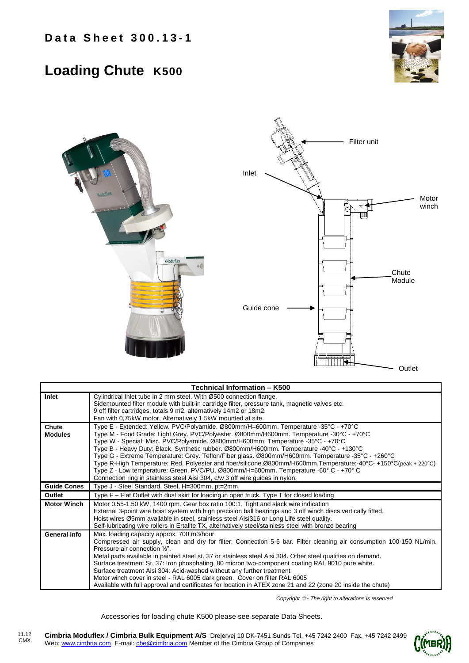## **Loading Chute K500**





| Technical Information - K500 |                                                                                                                                                                                                                                                                                                                                                                                                                                                                                                                                                                                                                                                                                                                                                             |
|------------------------------|-------------------------------------------------------------------------------------------------------------------------------------------------------------------------------------------------------------------------------------------------------------------------------------------------------------------------------------------------------------------------------------------------------------------------------------------------------------------------------------------------------------------------------------------------------------------------------------------------------------------------------------------------------------------------------------------------------------------------------------------------------------|
| Inlet                        | Cylindrical Inlet tube in 2 mm steel. With Ø500 connection flange.<br>Sidemounted filter module with built-in cartridge filter, pressure tank, magnetic valves etc.<br>9 off filter cartridges, totals 9 m2, alternatively 14m2 or 18m2.                                                                                                                                                                                                                                                                                                                                                                                                                                                                                                                    |
|                              | Fan with 0,75kW motor. Alternatively 1,5kW mounted at site.                                                                                                                                                                                                                                                                                                                                                                                                                                                                                                                                                                                                                                                                                                 |
| Chute<br><b>Modules</b>      | Type E - Extended: Yellow. PVC/Polyamide. Ø800mm/H=600mm. Temperature -35°C - +70°C<br>Type M - Food Grade: Light Grey. PVC/Polyester. Ø800mm/H600mm. Temperature -30°C - +70°C<br>Type W - Special: Misc. PVC/Polyamide. Ø800mm/H600mm. Temperature -35°C - +70°C<br>Type B - Heavy Duty: Black. Synthetic rubber. Ø800mm/H600mm. Temperature -40°C - +130°C<br>Type G - Extreme Temperature: Grey. Teflon/Fiber glass. Ø800mm/H600mm. Temperature -35°C - +260°C<br>Type R-High Temperature: Red. Polyester and fiber/silicone.Ø800mm/H600mm.Temperature:-40°C-+150°C(peak+220°C)<br>Type Z - Low temperature: Green. PVC/PU. Ø800mm/H=600mm. Temperature -60° C - +70° C<br>Connection ring in stainless steel Aisi 304, c/w 3 off wire guides in nylon. |
| <b>Guide Cones</b>           | Type J - Steel Standard. Steel, H=300mm, pt=2mm.                                                                                                                                                                                                                                                                                                                                                                                                                                                                                                                                                                                                                                                                                                            |
| Outlet                       | Type F - Flat Outlet with dust skirt for loading in open truck. Type T for closed loading                                                                                                                                                                                                                                                                                                                                                                                                                                                                                                                                                                                                                                                                   |
| <b>Motor Winch</b>           | Motor 0.55-1.50 kW, 1400 rpm. Gear box ratio 100:1. Tight and slack wire indication<br>External 3-point wire hoist system with high precision ball bearings and 3 off winch discs vertically fitted.<br>Hoist wires Ø5mm available in steel, stainless steel Aisi316 or Long Life steel quality.<br>Self-lubricating wire rollers in Ertalite TX, alternatively steel/stainless steel with bronze bearing                                                                                                                                                                                                                                                                                                                                                   |
| General info                 | Max. loading capacity approx. 700 m3/hour.<br>Compressed air supply, clean and dry for filter: Connection 5-6 bar. Filter cleaning air consumption 100-150 NL/min.<br>Pressure air connection 1/2".<br>Metal parts available in painted steel st. 37 or stainless steel Aisi 304. Other steel qualities on demand.<br>Surface treatment St. 37: Iron phosphating, 80 micron two-component coating RAL 9010 pure white.<br>Surface treatment Aisi 304: Acid-washed without any further treatment<br>Motor winch cover in steel - RAL 6005 dark green. Cover on filter RAL 6005<br>Available with full approval and certificates for location in ATEX zone 21 and 22 (zone 20 inside the chute)                                                               |

*Copyright - The right to alterations is reserved*

Accessories for loading chute K500 please see separate Data Sheets.